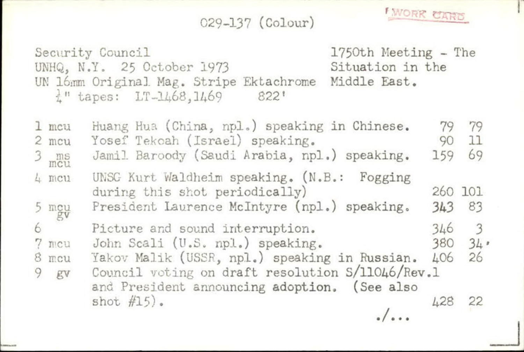029-137 (Colour)

**FWORR CARD** 

Security Council 1750th Meeting - The UNHQ, N.Y. 25 October 1973 Situation in the UN 16mm Original Mag. Stripe Ektachrome Middle East.<br> $\frac{1}{6}$ " tapes: LT-1468.1469 822'  $\frac{1}{6}$ " tapes: LT-1468,1469

1 mcu Huang Hua (China, npl,) speaking in Chinese, 2 mcu Yosef Tekcah (Israel) speaking. 3 ms Jamil Baroody (Saudi Arabia, npl.) speaking. 4 mcu UNSG Kurt Waldheim speaking. (N.B.: Fogging during this shot periodically) 5 mgu President Laurence Mclntyre (npl.) speaking, 6 Picture and sound interruption. 7 mcu John Scali (U.S. npl.) speaking.<br>8 mcu Yakov Malik (USSR. npl.) speakin Yakov Malik (USSR, npl.) speaking in Russian. 9 gv Council voting on draft resolution S/11046/Rev.1 and President announcing adoption. (See also shot  $#15$ . •/» \*» 79 79 90 11 159 260 101 343 83 346 3 380 34' 406 428 22